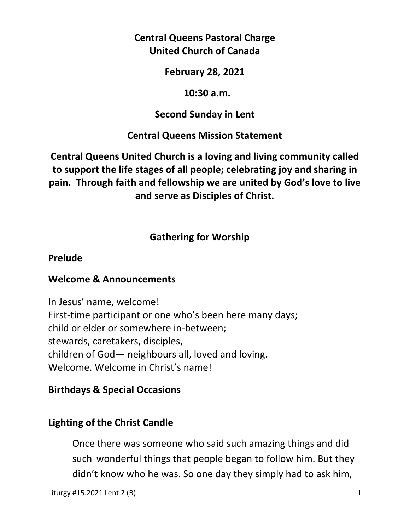# **Central Queens Pastoral Charge United Church of Canada**

## **February 28, 2021**

### **10:30 a.m.**

## **Second Sunday in Lent**

# **Central Queens Mission Statement**

# **Central Queens United Church is a loving and living community called to support the life stages of all people; celebrating joy and sharing in pain. Through faith and fellowship we are united by God's love to live and serve as Disciples of Christ.**

# **Gathering for Worship**

## **Prelude**

# **Welcome & Announcements**

In Jesus' name, welcome! First-time participant or one who's been here many days; child or elder or somewhere in-between; stewards, caretakers, disciples, children of God— neighbours all, loved and loving. Welcome. Welcome in Christ's name!

# **Birthdays & Special Occasions**

# **Lighting of the Christ Candle**

Once there was someone who said such amazing things and did such wonderful things that people began to follow him. But they didn't know who he was. So one day they simply had to ask him,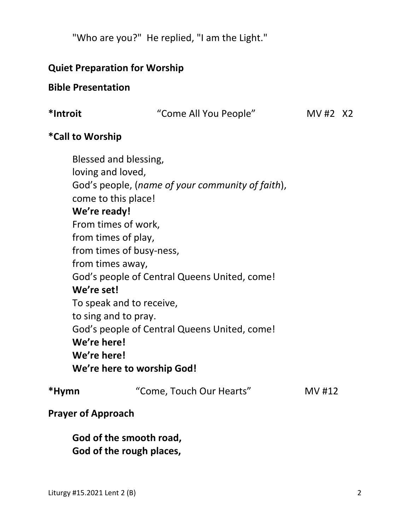"Who are you?" He replied, "I am the Light."

## **Quiet Preparation for Worship**

### **Bible Presentation**

|  | *Introit |
|--|----------|
|--|----------|

**\*Introit** "Come All You People" MV #2X2

### **\*Call to Worship**

 Blessed and blessing, loving and loved, God's people, (*name of your community of faith*), come to this place! **We're ready!**  From times of work, from times of play, from times of busy-ness, from times away, God's people of Central Queens United, come! **We're set!**  To speak and to receive, to sing and to pray. God's people of Central Queens United, come! **We're here! We're here! We're here to worship God!** 

| "Come, Touch Our Hearts" | MV #12 |
|--------------------------|--------|
|                          |        |

### **Prayer of Approach**

 **God of the smooth road, God of the rough places,**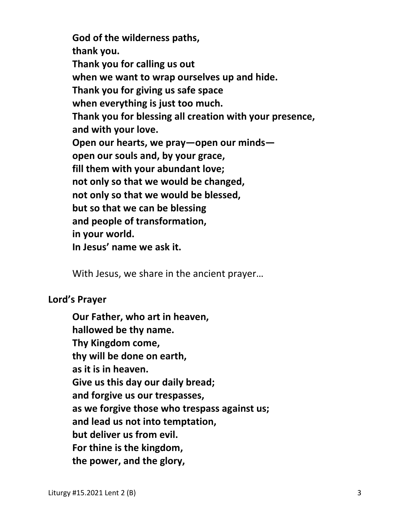**God of the wilderness paths, thank you. Thank you for calling us out when we want to wrap ourselves up and hide. Thank you for giving us safe space when everything is just too much. Thank you for blessing all creation with your presence, and with your love. Open our hearts, we pray—open our minds open our souls and, by your grace, fill them with your abundant love; not only so that we would be changed, not only so that we would be blessed, but so that we can be blessing and people of transformation, in your world. In Jesus' name we ask it.** 

With Jesus, we share in the ancient prayer…

#### **Lord's Prayer**

**Our Father, who art in heaven, hallowed be thy name. Thy Kingdom come, thy will be done on earth, as it is in heaven. Give us this day our daily bread; and forgive us our trespasses, as we forgive those who trespass against us; and lead us not into temptation, but deliver us from evil. For thine is the kingdom, the power, and the glory,**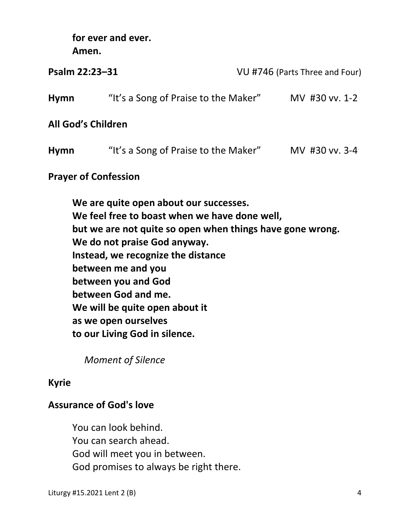**for ever and ever.** 

**Amen.** 

| Psalm 22:23-31                                                                                                                                                                                                                                                                                 |                                      | VU #746 (Parts Three and Four) |  |  |
|------------------------------------------------------------------------------------------------------------------------------------------------------------------------------------------------------------------------------------------------------------------------------------------------|--------------------------------------|--------------------------------|--|--|
| Hymn                                                                                                                                                                                                                                                                                           | "It's a Song of Praise to the Maker" | MV #30 vv. 1-2                 |  |  |
| <b>All God's Children</b>                                                                                                                                                                                                                                                                      |                                      |                                |  |  |
| <b>Hymn</b>                                                                                                                                                                                                                                                                                    | "It's a Song of Praise to the Maker" | MV #30 vv. 3-4                 |  |  |
| <b>Prayer of Confession</b>                                                                                                                                                                                                                                                                    |                                      |                                |  |  |
| We are quite open about our successes.<br>We feel free to boast when we have done well,<br>but we are not quite so open when things have gone wrong.<br>We do not praise God anyway.<br>Instead, we recognize the distance<br>between me and you<br>between you and God<br>between God and me. |                                      |                                |  |  |

 **We will be quite open about it** 

 **as we open ourselves** 

 **to our Living God in silence.** 

 *Moment of Silence* 

# **Kyrie**

# **Assurance of God's love**

You can look behind. You can search ahead. God will meet you in between. God promises to always be right there.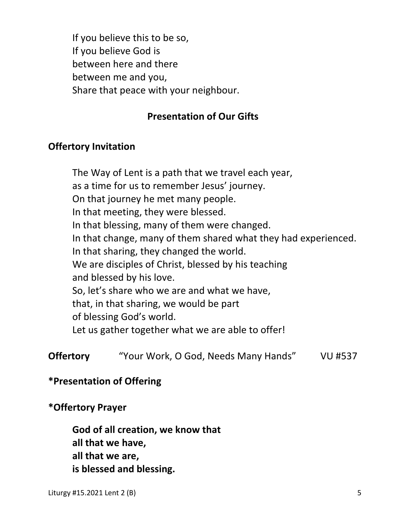If you believe this to be so, If you believe God is between here and there between me and you, Share that peace with your neighbour.

### **Presentation of Our Gifts**

### **Offertory Invitation**

 The Way of Lent is a path that we travel each year, as a time for us to remember Jesus' journey. On that journey he met many people. In that meeting, they were blessed. In that blessing, many of them were changed. In that change, many of them shared what they had experienced. In that sharing, they changed the world. We are disciples of Christ, blessed by his teaching and blessed by his love. So, let's share who we are and what we have, that, in that sharing, we would be part of blessing God's world. Let us gather together what we are able to offer!

**Offertory** "Your Work, O God, Needs Many Hands" VU #537

### **\*Presentation of Offering**

#### **\*Offertory Prayer**

 **God of all creation, we know that all that we have, all that we are, is blessed and blessing.**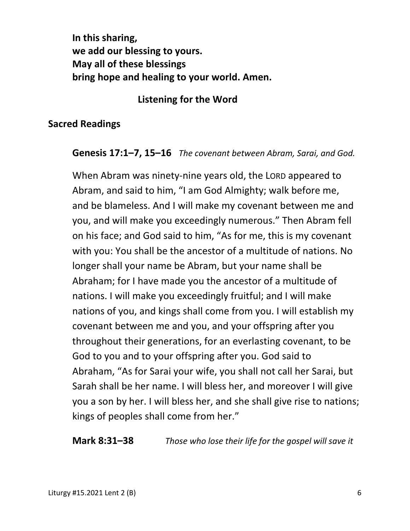**In this sharing, we add our blessing to yours. May all of these blessings bring hope and healing to your world. Amen.** 

### **Listening for the Word**

### **Sacred Readings**

#### **Genesis 17:1–7, 15–16** *The covenant between Abram, Sarai, and God.*

 When Abram was ninety-nine years old, the LORD appeared to Abram, and said to him, "I am God Almighty; walk before me, and be blameless. And I will make my covenant between me and you, and will make you exceedingly numerous." Then Abram fell on his face; and God said to him, "As for me, this is my covenant with you: You shall be the ancestor of a multitude of nations. No longer shall your name be Abram, but your name shall be Abraham; for I have made you the ancestor of a multitude of nations. I will make you exceedingly fruitful; and I will make nations of you, and kings shall come from you. I will establish my covenant between me and you, and your offspring after you throughout their generations, for an everlasting covenant, to be God to you and to your offspring after you. God said to Abraham, "As for Sarai your wife, you shall not call her Sarai, but Sarah shall be her name. I will bless her, and moreover I will give you a son by her. I will bless her, and she shall give rise to nations; kings of peoples shall come from her."

**Mark 8:31–38** *Those who lose their life for the gospel will save it*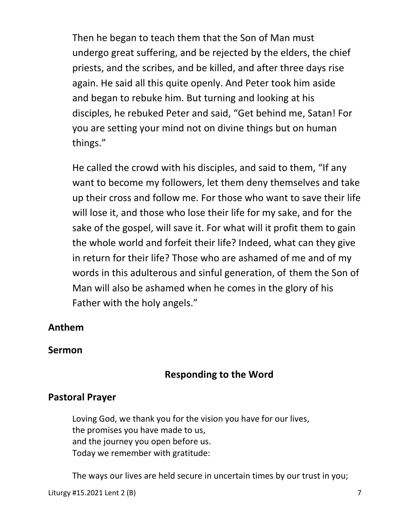Then he began to teach them that the Son of Man must undergo great suffering, and be rejected by the elders, the chief priests, and the scribes, and be killed, and after three days rise again. He said all this quite openly. And Peter took him aside and began to rebuke him. But turning and looking at his disciples, he rebuked Peter and said, "Get behind me, Satan! For you are setting your mind not on divine things but on human things."

He called the crowd with his disciples, and said to them, "If any want to become my followers, let them deny themselves and take up their cross and follow me. For those who want to save their life will lose it, and those who lose their life for my sake, and for the sake of the gospel, will save it. For what will it profit them to gain the whole world and forfeit their life? Indeed, what can they give in return for their life? Those who are ashamed of me and of my words in this adulterous and sinful generation, of them the Son of Man will also be ashamed when he comes in the glory of his Father with the holy angels."

## **Anthem**

### **Sermon**

## **Responding to the Word**

### **Pastoral Prayer**

 Loving God, we thank you for the vision you have for our lives, the promises you have made to us, and the journey you open before us. Today we remember with gratitude:

The ways our lives are held secure in uncertain times by our trust in you;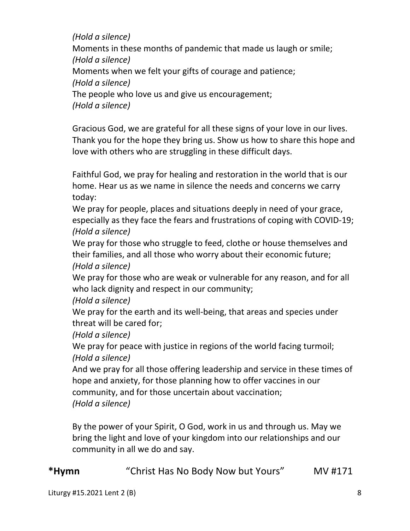*(Hold a silence)* Moments in these months of pandemic that made us laugh or smile;  *(Hold a silence)* Moments when we felt your gifts of courage and patience;  *(Hold a silence)* The people who love us and give us encouragement;  *(Hold a silence)*

 Gracious God, we are grateful for all these signs of your love in our lives. Thank you for the hope they bring us. Show us how to share this hope and love with others who are struggling in these difficult days.

 Faithful God, we pray for healing and restoration in the world that is our home. Hear us as we name in silence the needs and concerns we carry today:

 We pray for people, places and situations deeply in need of your grace, especially as they face the fears and frustrations of coping with COVID-19;  *(Hold a silence)*

 We pray for those who struggle to feed, clothe or house themselves and their families, and all those who worry about their economic future;  *(Hold a silence)*

 We pray for those who are weak or vulnerable for any reason, and for all who lack dignity and respect in our community;

 *(Hold a silence)*

 We pray for the earth and its well-being, that areas and species under threat will be cared for;

 *(Hold a silence)*

We pray for peace with justice in regions of the world facing turmoil;  *(Hold a silence)*

 And we pray for all those offering leadership and service in these times of hope and anxiety, for those planning how to offer vaccines in our community, and for those uncertain about vaccination;  *(Hold a silence)*

 By the power of your Spirit, O God, work in us and through us. May we bring the light and love of your kingdom into our relationships and our community in all we do and say.

# **\*Hymn** "Christ Has No Body Now but Yours" MV #171